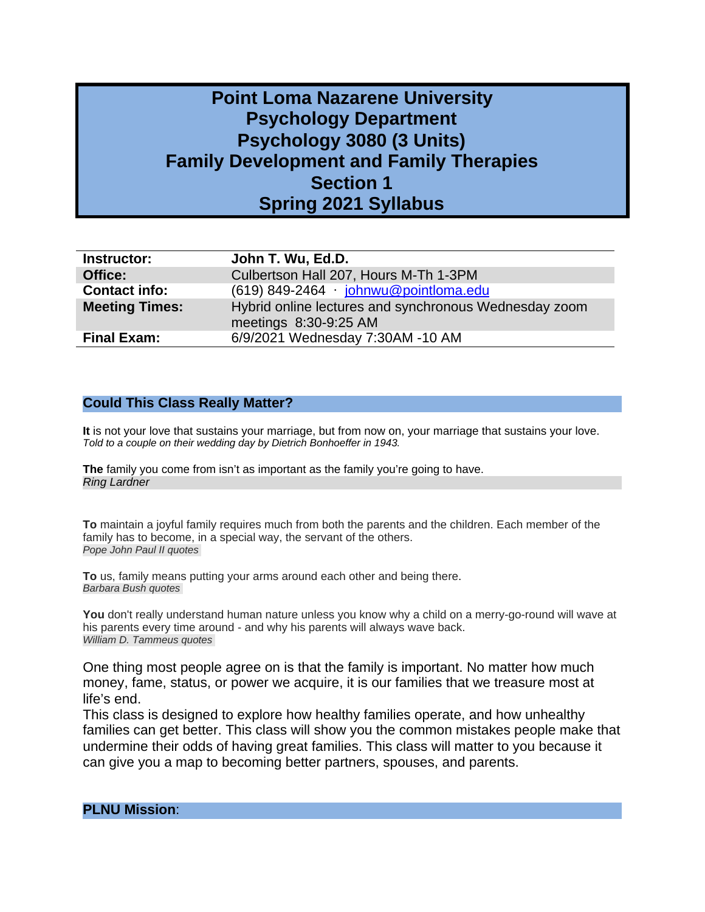# **Point Loma Nazarene University Psychology Department Psychology 3080 (3 Units) Family Development and Family Therapies Section 1 Spring 2021 Syllabus**

| <b>Instructor:</b>    | John T. Wu, Ed.D.                                                              |
|-----------------------|--------------------------------------------------------------------------------|
| Office:               | Culbertson Hall 207, Hours M-Th 1-3PM                                          |
| <b>Contact info:</b>  | $(619)$ 849-2464 · johnwu@pointloma.edu                                        |
| <b>Meeting Times:</b> | Hybrid online lectures and synchronous Wednesday zoom<br>meetings 8:30-9:25 AM |
| <b>Final Exam:</b>    | 6/9/2021 Wednesday 7:30AM -10 AM                                               |

#### **Could This Class Really Matter?**

**It** is not your love that sustains your marriage, but from now on, your marriage that sustains your love. *Told to a couple on their wedding day by Dietrich Bonhoeffer in 1943.*

**The** family you come from isn't as important as the family you're going to have. *Ring Lardner*

**[To](http://www.searchquotes.com/quotation/To_maintain_a_joyful_family_requires_much_from_both_the_parents_and_the_children._Each_member_of_the/234694/)** [maintain](http://www.searchquotes.com/quotation/To_maintain_a_joyful_family_requires_much_from_both_the_parents_and_the_children._Each_member_of_the/234694/) a joyful family requires much from both the parents and the children. Each member of the family has to [become,](http://www.searchquotes.com/quotation/To_maintain_a_joyful_family_requires_much_from_both_the_parents_and_the_children._Each_member_of_the/234694/) in a special way, the servant of the others. *[Pope John Paul II quotes](http://www.searchquotes.com/quotes/author/Pope_John_Paul_II/)* 

**[To](http://www.searchquotes.com/quotation/To_us%2C_family_means_putting_your_arms_around_each_other_and_being_there/5416/)** us, family means putting your arms [around](http://www.searchquotes.com/quotation/To_us%2C_family_means_putting_your_arms_around_each_other_and_being_there/5416/) each other and being there. *[Barbara Bush quotes](http://www.searchquotes.com/quotes/author/Barbara_Bush/)* 

**[You](http://www.searchquotes.com/quotation/You_don%27t_really_understand_human_nature_unless_you_know_why_a_child_on_a_merry-go-round_will_wave_a/33901/)** don't really understand human nature unless you know why a child on a [merry-go-round](http://www.searchquotes.com/quotation/You_don%27t_really_understand_human_nature_unless_you_know_why_a_child_on_a_merry-go-round_will_wave_a/33901/) will wave at his [parents](http://www.searchquotes.com/quotation/You_don%27t_really_understand_human_nature_unless_you_know_why_a_child_on_a_merry-go-round_will_wave_a/33901/) every time around - and why his parents will always wave back. *[William D. Tammeus quotes](http://www.searchquotes.com/quotes/author/William_D_Tammeus/)* 

One thing most people agree on is that the family is important. No matter how much money, fame, status, or power we acquire, it is our families that we treasure most at life's end.

This class is designed to explore how healthy families operate, and how unhealthy families can get better. This class will show you the common mistakes people make that undermine their odds of having great families. This class will matter to you because it can give you a map to becoming better partners, spouses, and parents.

**PLNU Mission**: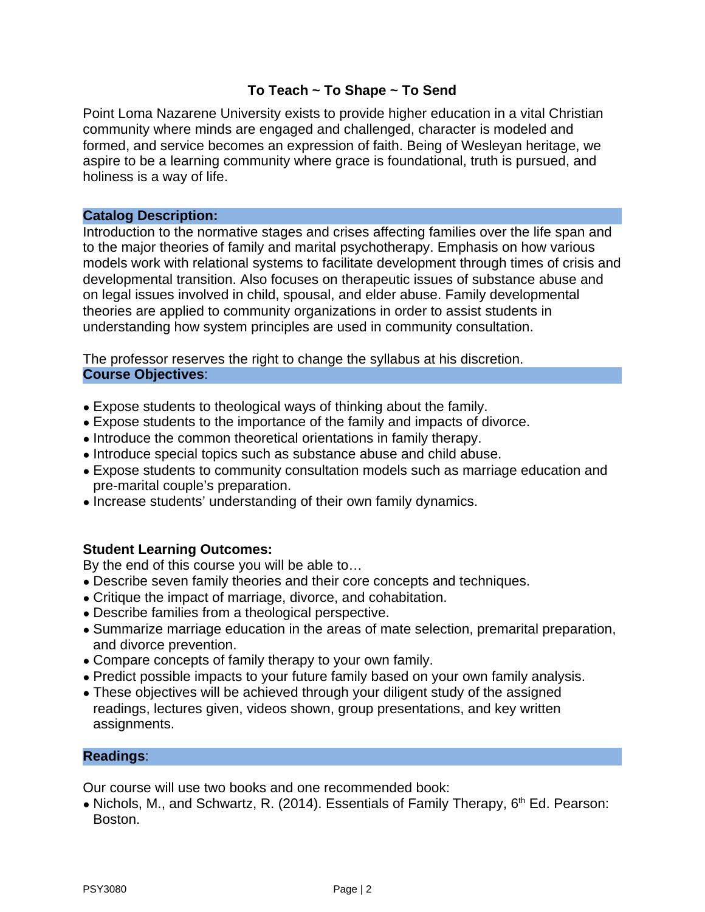## **To Teach ~ To Shape ~ To Send**

Point Loma Nazarene University exists to provide higher education in a vital Christian community where minds are engaged and challenged, character is modeled and formed, and service becomes an expression of faith. Being of Wesleyan heritage, we aspire to be a learning community where grace is foundational, truth is pursued, and holiness is a way of life.

#### **Catalog Description:**

Introduction to the normative stages and crises affecting families over the life span and to the major theories of family and marital psychotherapy. Emphasis on how various models work with relational systems to facilitate development through times of crisis and developmental transition. Also focuses on therapeutic issues of substance abuse and on legal issues involved in child, spousal, and elder abuse. Family developmental theories are applied to community organizations in order to assist students in understanding how system principles are used in community consultation.

The professor reserves the right to change the syllabus at his discretion. **Course Objectives**:

- Expose students to theological ways of thinking about the family.
- Expose students to the importance of the family and impacts of divorce.
- Introduce the common theoretical orientations in family therapy.
- Introduce special topics such as substance abuse and child abuse.
- Expose students to community consultation models such as marriage education and pre-marital couple's preparation.
- Increase students' understanding of their own family dynamics.

## **Student Learning Outcomes:**

By the end of this course you will be able to…

- Describe seven family theories and their core concepts and techniques.
- Critique the impact of marriage, divorce, and cohabitation.
- Describe families from a theological perspective.
- Summarize marriage education in the areas of mate selection, premarital preparation, and divorce prevention.
- Compare concepts of family therapy to your own family.
- Predict possible impacts to your future family based on your own family analysis.
- These objectives will be achieved through your diligent study of the assigned readings, lectures given, videos shown, group presentations, and key written assignments.

## **Readings**:

Our course will use two books and one recommended book:

• Nichols, M., and Schwartz, R. (2014). Essentials of Family Therapy, 6<sup>th</sup> Ed. Pearson: Boston.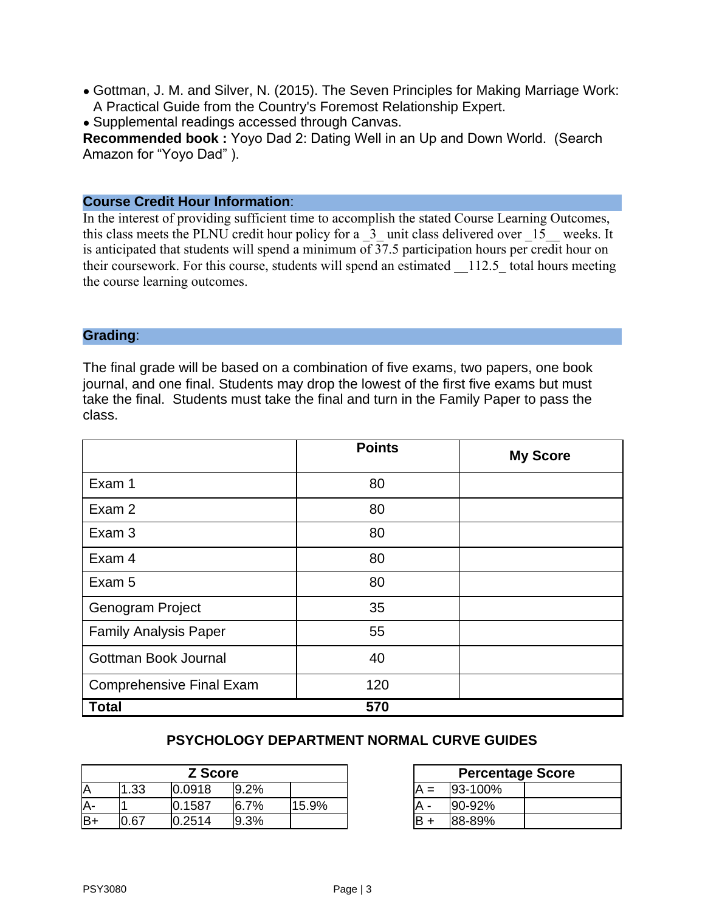- Gottman, J. M. and Silver, N. (2015). The Seven Principles for Making Marriage Work: A Practical Guide from the Country's Foremost Relationship Expert.
- Supplemental readings accessed through Canvas.

**Recommended book :** Yoyo Dad 2: Dating Well in an Up and Down World. (Search Amazon for "Yoyo Dad" ).

## **Course Credit Hour Information**:

In the interest of providing sufficient time to accomplish the stated Course Learning Outcomes, this class meets the PLNU credit hour policy for a  $\,$  3 unit class delivered over  $\,$  15 weeks. It is anticipated that students will spend a minimum of  $\overline{37.5}$  participation hours per credit hour on their coursework. For this course, students will spend an estimated 112.5 total hours meeting the course learning outcomes.

#### **Grading**:

The final grade will be based on a combination of five exams, two papers, one book journal, and one final. Students may drop the lowest of the first five exams but must take the final. Students must take the final and turn in the Family Paper to pass the class.

|                                 | <b>Points</b> | <b>My Score</b> |
|---------------------------------|---------------|-----------------|
| Exam 1                          | 80            |                 |
| Exam 2                          | 80            |                 |
| Exam 3                          | 80            |                 |
| Exam 4                          | 80            |                 |
| Exam 5                          | 80            |                 |
| <b>Genogram Project</b>         | 35            |                 |
| <b>Family Analysis Paper</b>    | 55            |                 |
| Gottman Book Journal            | 40            |                 |
| <b>Comprehensive Final Exam</b> | 120           |                 |
| <b>Total</b>                    | 570           |                 |

## **PSYCHOLOGY DEPARTMENT NORMAL CURVE GUIDES**

| <b>Z</b> Score |      |        |          |       |   | Percent   |
|----------------|------|--------|----------|-------|---|-----------|
| Α              | ⊥.33 | 0.0918 | 9.2%     |       |   | 93-100%   |
| Α-             |      | 0.1587 | $16.7\%$ | 15.9% | A | $ 90-92%$ |
| lB+            | 1.67 | 0.2514 | 9.3%     |       | B | 88-89%    |

| <b>Z Score</b> |         |       | <b>Percentage Score</b> |           |  |  |
|----------------|---------|-------|-------------------------|-----------|--|--|
| 1918           | $9.2\%$ |       | $A =$                   | 93-100%   |  |  |
| .587           | 6.7%    | 15.9% |                         | $ 90-92%$ |  |  |
| !514           | $9.3\%$ |       | lB +                    | 88-89%    |  |  |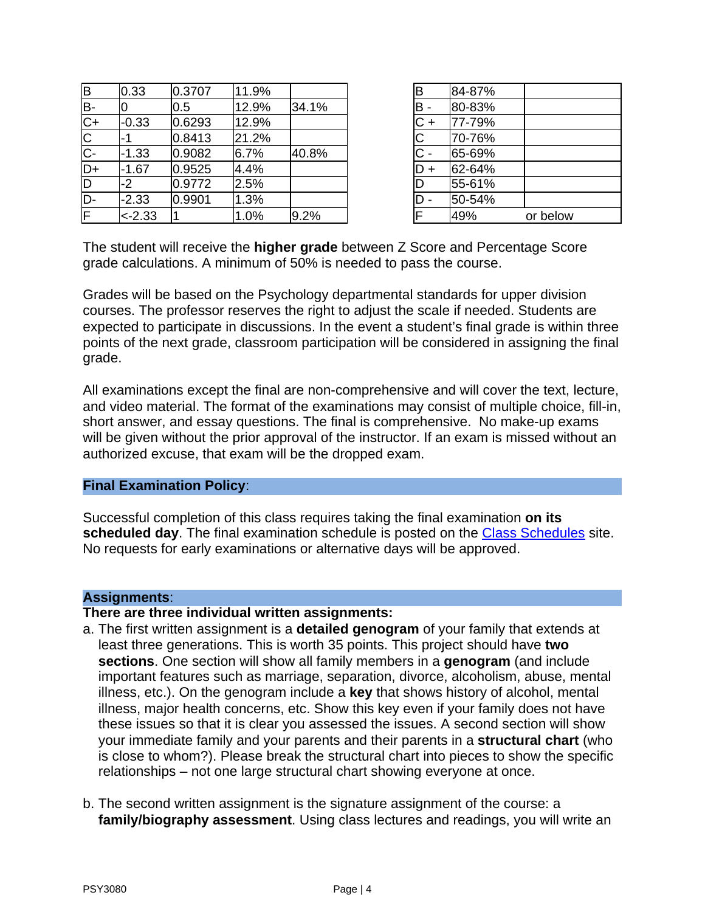| B                       | 0.33      | 0.3707 | 11.9% |       | В              | 84-87% |          |
|-------------------------|-----------|--------|-------|-------|----------------|--------|----------|
| B-                      | 10        | 0.5    | 12.9% | 34.1% | B -            | 80-83% |          |
| $C+$                    | $-0.33$   | 0.6293 | 12.9% |       | $C +$          | 77-79% |          |
| $\overline{\mathsf{C}}$ | -1        | 0.8413 | 21.2% |       |                | 70-76% |          |
| $C -$                   | $-1.33$   | 0.9082 | 6.7%  | 40.8% | $\mathsf{C}$ - | 65-69% |          |
| $D+$                    | $-1.67$   | 0.9525 | 4.4%  |       | $D +$          | 62-64% |          |
| $\overline{D}$          | -2        | 0.9772 | 2.5%  |       |                | 55-61% |          |
| ID-                     | $-2.33$   | 0.9901 | 1.3%  |       | D -            | 50-54% |          |
| IF.                     | $< -2.33$ |        | 1.0%  | 9.2%  |                | 49%    | or below |
|                         |           |        |       |       |                |        |          |

| B                                                                                            | 84-87% |          |
|----------------------------------------------------------------------------------------------|--------|----------|
|                                                                                              | 80-83% |          |
|                                                                                              | 77-79% |          |
|                                                                                              | 70-76% |          |
| $\begin{array}{c c}\n\hline\nB & - \\ \hline\nC & - \\ \hline\nC & - \\ \hline\n\end{array}$ | 65-69% |          |
| $D +$                                                                                        | 62-64% |          |
| $\overline{D}$                                                                               | 55-61% |          |
|                                                                                              | 50-54% |          |
| $\overline{\mathsf{F}}$                                                                      | 49%    | or below |

The student will receive the **higher grade** between Z Score and Percentage Score grade calculations. A minimum of 50% is needed to pass the course.

Grades will be based on the Psychology departmental standards for upper division courses. The professor reserves the right to adjust the scale if needed. Students are expected to participate in discussions. In the event a student's final grade is within three points of the next grade, classroom participation will be considered in assigning the final grade.

All examinations except the final are non-comprehensive and will cover the text, lecture, and video material. The format of the examinations may consist of multiple choice, fill-in, short answer, and essay questions. The final is comprehensive. No make-up exams will be given without the prior approval of the instructor. If an exam is missed without an authorized excuse, that exam will be the dropped exam.

#### **Final Examination Policy**:

Successful completion of this class requires taking the final examination **on its scheduled day**. The final examination schedule is posted on the [Class Schedules](http://www.pointloma.edu/experience/academics/class-schedules) site. No requests for early examinations or alternative days will be approved.

#### **Assignments**:

## **There are three individual written assignments:**

- a. The first written assignment is a **detailed genogram** of your family that extends at least three generations. This is worth 35 points. This project should have **two sections**. One section will show all family members in a **genogram** (and include important features such as marriage, separation, divorce, alcoholism, abuse, mental illness, etc.). On the genogram include a **key** that shows history of alcohol, mental illness, major health concerns, etc. Show this key even if your family does not have these issues so that it is clear you assessed the issues. A second section will show your immediate family and your parents and their parents in a **structural chart** (who is close to whom?). Please break the structural chart into pieces to show the specific relationships – not one large structural chart showing everyone at once.
- b. The second written assignment is the signature assignment of the course: a **family/biography assessment**. Using class lectures and readings, you will write an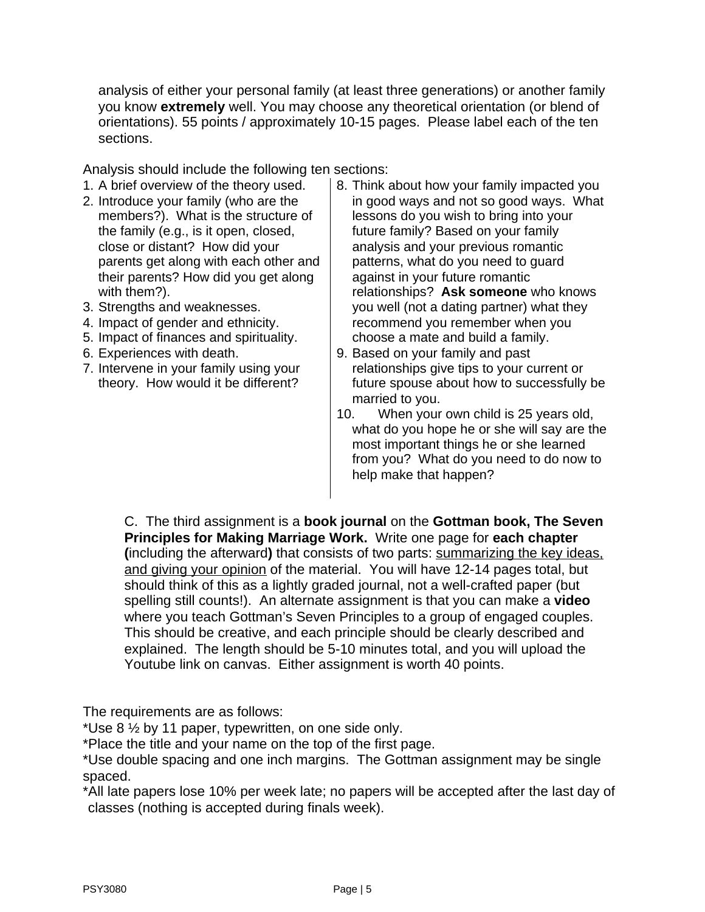analysis of either your personal family (at least three generations) or another family you know **extremely** well. You may choose any theoretical orientation (or blend of orientations). 55 points / approximately 10-15 pages. Please label each of the ten sections.

Analysis should include the following ten sections:

- 1. A brief overview of the theory used. 2. Introduce your family (who are the members?). What is the structure of the family (e.g., is it open, closed, close or distant? How did your parents get along with each other and their parents? How did you get along with them?).
- 3. Strengths and weaknesses.
- 4. Impact of gender and ethnicity.
- 5. Impact of finances and spirituality.
- 6. Experiences with death.
- 7. Intervene in your family using your theory. How would it be different?
- 8. Think about how your family impacted you in good ways and not so good ways. What lessons do you wish to bring into your future family? Based on your family analysis and your previous romantic patterns, what do you need to guard against in your future romantic relationships? **Ask someone** who knows you well (not a dating partner) what they recommend you remember when you choose a mate and build a family.
- 9. Based on your family and past relationships give tips to your current or future spouse about how to successfully be married to you.
- 10. When your own child is 25 years old, what do you hope he or she will say are the most important things he or she learned from you? What do you need to do now to help make that happen?

C. The third assignment is a **book journal** on the **Gottman book, The Seven Principles for Making Marriage Work.** Write one page for **each chapter (**including the afterward**)** that consists of two parts: summarizing the key ideas, and giving your opinion of the material. You will have 12-14 pages total, but should think of this as a lightly graded journal, not a well-crafted paper (but spelling still counts!). An alternate assignment is that you can make a **video** where you teach Gottman's Seven Principles to a group of engaged couples. This should be creative, and each principle should be clearly described and explained. The length should be 5-10 minutes total, and you will upload the Youtube link on canvas. Either assignment is worth 40 points.

The requirements are as follows:

\*Use 8 ½ by 11 paper, typewritten, on one side only.

\*Place the title and your name on the top of the first page.

\*Use double spacing and one inch margins. The Gottman assignment may be single spaced.

\*All late papers lose 10% per week late; no papers will be accepted after the last day of classes (nothing is accepted during finals week).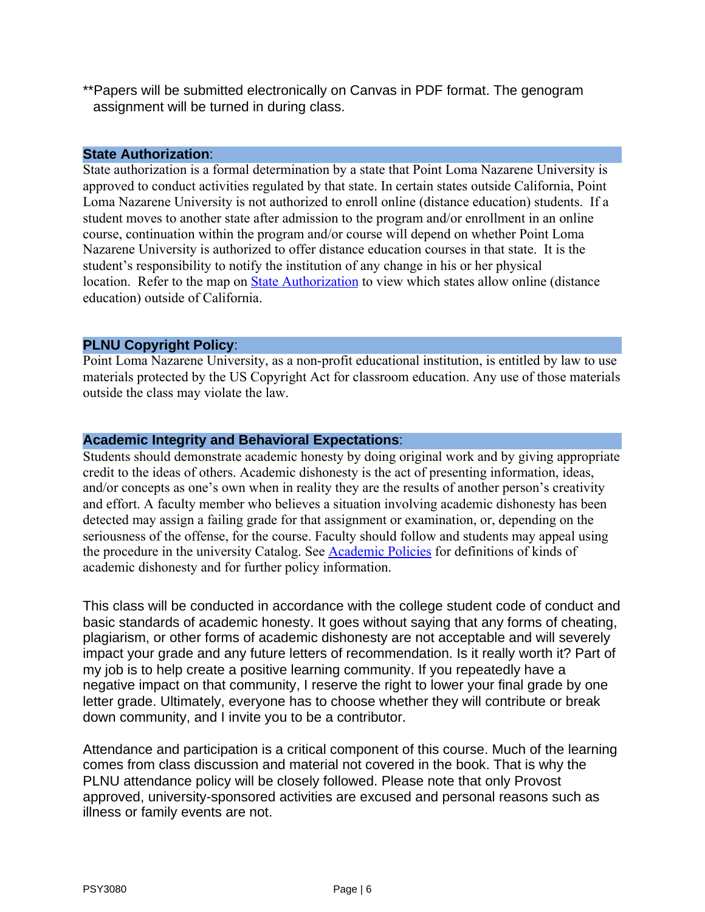\*\*Papers will be submitted electronically on Canvas in PDF format. The genogram assignment will be turned in during class.

#### **State Authorization**:

State authorization is a formal determination by a state that Point Loma Nazarene University is approved to conduct activities regulated by that state. In certain states outside California, Point Loma Nazarene University is not authorized to enroll online (distance education) students. If a student moves to another state after admission to the program and/or enrollment in an online course, continuation within the program and/or course will depend on whether Point Loma Nazarene University is authorized to offer distance education courses in that state. It is the student's responsibility to notify the institution of any change in his or her physical location. Refer to the map on [State Authorization](https://www.pointloma.edu/offices/office-institutional-effectiveness-research/disclosures) to view which states allow online (distance education) outside of California.

## **PLNU Copyright Policy**:

Point Loma Nazarene University, as a non-profit educational institution, is entitled by law to use materials protected by the US Copyright Act for classroom education. Any use of those materials outside the class may violate the law.

## **Academic Integrity and Behavioral Expectations**:

Students should demonstrate academic honesty by doing original work and by giving appropriate credit to the ideas of others. Academic dishonesty is the act of presenting information, ideas, and/or concepts as one's own when in reality they are the results of another person's creativity and effort. A faculty member who believes a situation involving academic dishonesty has been detected may assign a failing grade for that assignment or examination, or, depending on the seriousness of the offense, for the course. Faculty should follow and students may appeal using the procedure in the university Catalog. See [Academic Policies](https://catalog.pointloma.edu/content.php?catoid=41&navoid=2435#Academic_Honesty) for definitions of kinds of academic dishonesty and for further policy information.

This class will be conducted in accordance with the college student code of conduct and basic standards of academic honesty. It goes without saying that any forms of cheating, plagiarism, or other forms of academic dishonesty are not acceptable and will severely impact your grade and any future letters of recommendation. Is it really worth it? Part of my job is to help create a positive learning community. If you repeatedly have a negative impact on that community, I reserve the right to lower your final grade by one letter grade. Ultimately, everyone has to choose whether they will contribute or break down community, and I invite you to be a contributor.

Attendance and participation is a critical component of this course. Much of the learning comes from class discussion and material not covered in the book. That is why the PLNU attendance policy will be closely followed. Please note that only Provost approved, university-sponsored activities are excused and personal reasons such as illness or family events are not.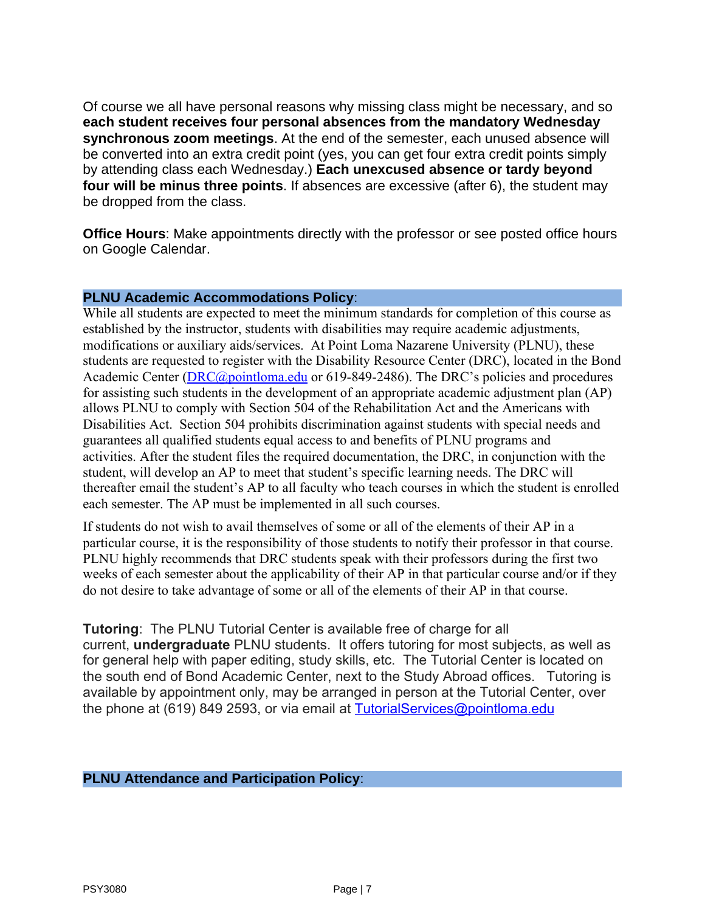Of course we all have personal reasons why missing class might be necessary, and so **each student receives four personal absences from the mandatory Wednesday synchronous zoom meetings**. At the end of the semester, each unused absence will be converted into an extra credit point (yes, you can get four extra credit points simply by attending class each Wednesday.) **Each unexcused absence or tardy beyond four will be minus three points**. If absences are excessive (after 6), the student may be dropped from the class.

**Office Hours**: Make appointments directly with the professor or see posted office hours on Google Calendar.

## **PLNU Academic Accommodations Policy**:

While all students are expected to meet the minimum standards for completion of this course as established by the instructor, students with disabilities may require academic adjustments, modifications or auxiliary aids/services. At Point Loma Nazarene University (PLNU), these students are requested to register with the Disability Resource Center (DRC), located in the Bond Academic Center ([DRC@pointloma.edu](mailto:DRC@pointloma.edu) or 619-849-2486). The DRC's policies and procedures for assisting such students in the development of an appropriate academic adjustment plan (AP) allows PLNU to comply with Section 504 of the Rehabilitation Act and the Americans with Disabilities Act. Section 504 prohibits discrimination against students with special needs and guarantees all qualified students equal access to and benefits of PLNU programs and activities. After the student files the required documentation, the DRC, in conjunction with the student, will develop an AP to meet that student's specific learning needs. The DRC will thereafter email the student's AP to all faculty who teach courses in which the student is enrolled each semester. The AP must be implemented in all such courses.

If students do not wish to avail themselves of some or all of the elements of their AP in a particular course, it is the responsibility of those students to notify their professor in that course. PLNU highly recommends that DRC students speak with their professors during the first two weeks of each semester about the applicability of their AP in that particular course and/or if they do not desire to take advantage of some or all of the elements of their AP in that course.

**Tutoring**: The PLNU Tutorial Center is available free of charge for all current, **undergraduate** PLNU students. It offers tutoring for most subjects, as well as for general help with paper editing, study skills, etc. The Tutorial Center is located on the south end of Bond Academic Center, next to the Study Abroad offices. Tutoring is available by appointment only, may be arranged in person at the Tutorial Center, over the phone at (619) 849 2593, or via email at [TutorialServices@pointloma.edu](mailto:TutorialServices@pointloma.edu)

## **PLNU Attendance and Participation Policy**: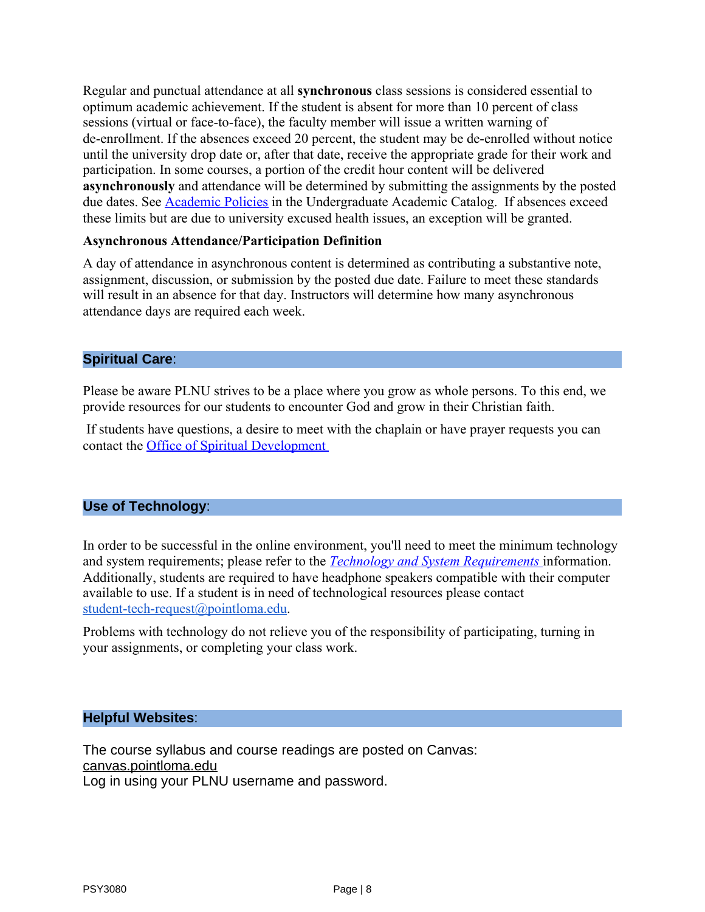Regular and punctual attendance at all **synchronous** class sessions is considered essential to optimum academic achievement. If the student is absent for more than 10 percent of class sessions (virtual or face-to-face), the faculty member will issue a written warning of de-enrollment. If the absences exceed 20 percent, the student may be de-enrolled without notice until the university drop date or, after that date, receive the appropriate grade for their work and participation. In some courses, a portion of the credit hour content will be delivered **asynchronously** and attendance will be determined by submitting the assignments by the posted due dates. See **Academic Policies** in the Undergraduate Academic Catalog. If absences exceed these limits but are due to university excused health issues, an exception will be granted.

## **Asynchronous Attendance/Participation Definition**

A day of attendance in asynchronous content is determined as contributing a substantive note, assignment, discussion, or submission by the posted due date. Failure to meet these standards will result in an absence for that day. Instructors will determine how many asynchronous attendance days are required each week.

## **Spiritual Care**:

Please be aware PLNU strives to be a place where you grow as whole persons. To this end, we provide resources for our students to encounter God and grow in their Christian faith.

 If students have questions, a desire to meet with the chaplain or have prayer requests you can contact the [Office of Spiritual Development](https://www.pointloma.edu/offices/spiritual-development) 

## **Use of Technology**:

In order to be successful in the online environment, you'll need to meet the minimum technology and system requirements; please refer to the *[Technology and System Requirements](https://help.pointloma.edu/TDClient/1808/Portal/KB/ArticleDet?ID=108349)* information. Additionally, students are required to have headphone speakers compatible with their computer available to use. If a student is in need of technological resources please contact [student-tech-request@pointloma.edu](mailto:student-tech-request@pointloma.edu).

Problems with technology do not relieve you of the responsibility of participating, turning in your assignments, or completing your class work.

## **Helpful Websites**:

The course syllabus and course readings are posted on Canvas: canvas.pointloma.edu Log in using your PLNU username and password.